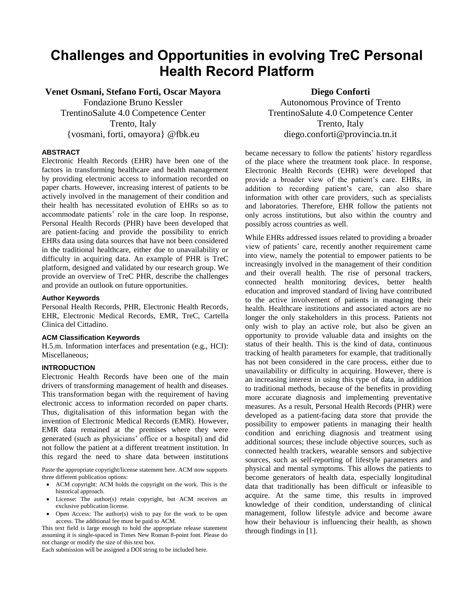# **Challenges and Opportunities in evolving TreC Personal Health Record Platform**

**Venet Osmani, Stefano Forti, Oscar Mayora**

Fondazione Bruno Kessler TrentinoSalute 4.0 Competence Center Trento, Italy {vosmani, forti, omayora} @fbk.eu

#### **ABSTRACT**

Electronic Health Records (EHR) have been one of the factors in transforming healthcare and health management by providing electronic access to information recorded on paper charts. However, increasing interest of patients to be actively involved in the management of their condition and their health has necessitated evolution of EHRs so as to accommodate patients' role in the care loop. In response, Personal Health Records (PHR) have been developed that are patient-facing and provide the possibility to enrich EHRs data using data sources that have not been considered in the traditional healthcare, either due to unavailability or difficulty in acquiring data. An example of PHR is TreC platform, designed and validated by our research group. We provide an overview of TreC PHR, describe the challenges and provide an outlook on future opportunities.

#### **Author Keywords**

Personal Health Records, PHR, Electronic Health Records, EHR, Electronic Medical Records, EMR, TreC, Cartella Clinica del Cittadino.

#### **ACM Classification Keywords**

H.5.m. Information interfaces and presentation (e.g., HCI): Miscellaneous;

### **INTRODUCTION**

Electronic Health Records have been one of the main drivers of transforming management of health and diseases. This transformation began with the requirement of having electronic access to information recorded on paper charts. Thus, digitalisation of this information began with the invention of Electronic Medical Records (EMR). However, EMR data remained at the premises where they were generated (such as physicians' office or a hospital) and did not follow the patient at a different treatment institution. In this regard the need to share data between institutions

Paste the appropriate copyright/license statement here. ACM now supports three different publication options:

- ACM copyright: ACM holds the copyright on the work. This is the historical approach.
- License: The author(s) retain copyright, but ACM receives an exclusive publication license.
- Open Access: The author(s) wish to pay for the work to be open access. The additional fee must be paid to ACM.

This text field is large enough to hold the appropriate release statement assuming it is single-spaced in Times New Roman 8-point font. Please do not change or modify the size of this text box.

Each submission will be assigned a DOI string to be included here.

**Diego Conforti**

Autonomous Province of Trento TrentinoSalute 4.0 Competence Center Trento, Italy diego.conforti@provincia.tn.it

became necessary to follow the patients' history regardless of the place where the treatment took place. In response, Electronic Health Records (EHR) were developed that provide a broader view of the patient's care. EHRs, in addition to recording patient's care, can also share information with other care providers, such as specialists and laboratories. Therefore, EHR follow the patients not only across institutions, but also within the country and possibly across countries as well.

While EHRs addressed issues related to providing a broader view of patients' care, recently another requirement came into view, namely the potential to empower patients to be increasingly involved in the management of their condition and their overall health. The rise of personal trackers, connected health monitoring devices, better health education and improved standard of living have contributed to the active involvement of patients in managing their health. Healthcare institutions and associated actors are no longer the only stakeholders in this process. Patients not only wish to play an active role, but also be given an opportunity to provide valuable data and insights on the status of their health. This is the kind of data, continuous tracking of health parameters for example, that traditionally has not been considered in the care process, either due to unavailability or difficulty in acquiring. However, there is an increasing interest in using this type of data, in addition to traditional methods, because of the benefits in providing more accurate diagnosis and implementing preventative measures. As a result, Personal Health Records (PHR) were developed as a patient-facing data store that provide the possibility to empower patients in managing their health condition and enriching diagnosis and treatment using additional sources; these include objective sources, such as connected health trackers, wearable sensors and subjective sources, such as self-reporting of lifestyle parameters and physical and mental symptoms. This allows the patients to become generators of health data, especially longitudinal data that traditionally has been difficult or infeasible to acquire. At the same time, this results in improved knowledge of their condition, understanding of clinical management, follow lifestyle advice and become aware how their behaviour is influencing their health, as shown through findings in [1].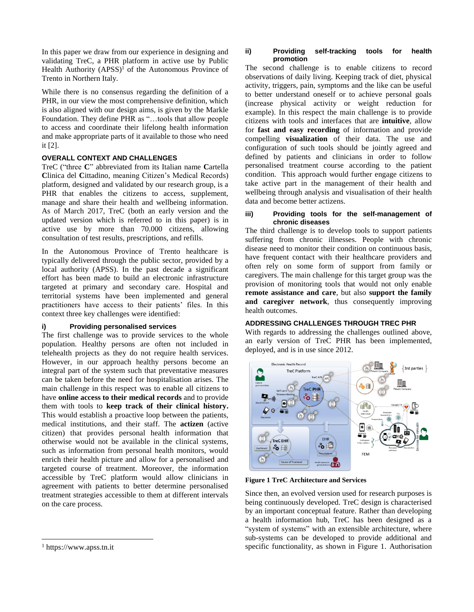In this paper we draw from our experience in designing and validating TreC, a PHR platform in active use by Public Health Authority  $(APSS)^1$  of the Autonomous Province of Trento in Northern Italy.

While there is no consensus regarding the definition of a PHR, in our view the most comprehensive definition, which is also aligned with our design aims, is given by the Markle Foundation. They define PHR as "…tools that allow people to access and coordinate their lifelong health information and make appropriate parts of it available to those who need it [2].

#### **OVERALL CONTEXT AND CHALLENGES**

TreC ("three **C**" abbreviated from its Italian name **C**artella **C**linica del **C**ittadino, meaning Citizen's Medical Records) platform, designed and validated by our research group, is a PHR that enables the citizens to access, supplement, manage and share their health and wellbeing information. As of March 2017, TreC (both an early version and the updated version which is referred to in this paper) is in active use by more than 70.000 citizens, allowing consultation of test results, prescriptions, and refills.

In the Autonomous Province of Trento healthcare is typically delivered through the public sector, provided by a local authority (APSS). In the past decade a significant effort has been made to build an electronic infrastructure targeted at primary and secondary care. Hospital and territorial systems have been implemented and general practitioners have access to their patients' files. In this context three key challenges were identified:

#### **i) Providing personalised services**

The first challenge was to provide services to the whole population. Healthy persons are often not included in telehealth projects as they do not require health services. However, in our approach healthy persons become an integral part of the system such that preventative measures can be taken before the need for hospitalisation arises. The main challenge in this respect was to enable all citizens to have **online access to their medical records** and to provide them with tools to **keep track of their clinical history.**  This would establish a proactive loop between the patients, medical institutions, and their staff. The **actizen** (active citizen) that provides personal health information that otherwise would not be available in the clinical systems, such as information from personal health monitors, would enrich their health picture and allow for a personalised and targeted course of treatment. Moreover, the information accessible by TreC platform would allow clinicians in agreement with patients to better determine personalised treatment strategies accessible to them at different intervals on the care process.

 $\overline{a}$ 

#### **ii) Providing self-tracking tools for health promotion**

The second challenge is to enable citizens to record observations of daily living. Keeping track of diet, physical activity, triggers, pain, symptoms and the like can be useful to better understand oneself or to achieve personal goals (increase physical activity or weight reduction for example). In this respect the main challenge is to provide citizens with tools and interfaces that are **intuitive**, allow for **fast and easy recording** of information and provide compelling **visualization** of their data. The use and configuration of such tools should be jointly agreed and defined by patients and clinicians in order to follow personalised treatment course according to the patient condition. This approach would further engage citizens to take active part in the management of their health and wellbeing through analysis and visualisation of their health data and become better actizens.

#### **iii) Providing tools for the self-management of chronic diseases**

The third challenge is to develop tools to support patients suffering from chronic illnesses. People with chronic disease need to monitor their condition on continuous basis, have frequent contact with their healthcare providers and often rely on some form of support from family or caregivers. The main challenge for this target group was the provision of monitoring tools that would not only enable **remote assistance and care**, but also **support the family and caregiver network**, thus consequently improving health outcomes.

#### **ADDRESSING CHALLENGES THROUGH TREC PHR**

With regards to addressing the challenges outlined above, an early version of TreC PHR has been implemented, deployed, and is in use since 2012.





Since then, an evolved version used for research purposes is being continuously developed. TreC design is characterised by an important conceptual feature. Rather than developing a health information hub, TreC has been designed as a "system of systems" with an extensible architecture, where sub-systems can be developed to provide additional and specific functionality, as shown in Figure 1. Authorisation

<sup>1</sup> https://www.apss.tn.it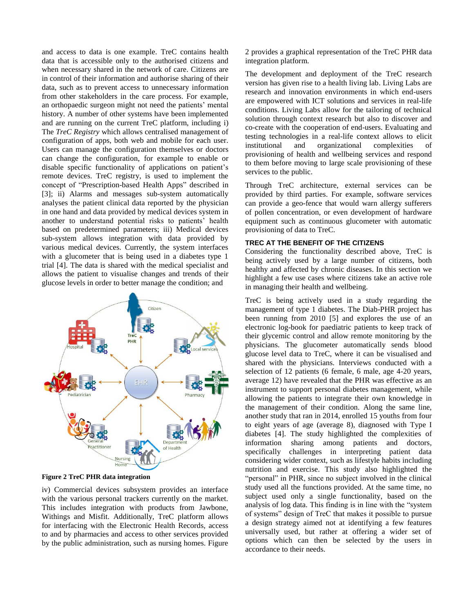and access to data is one example. TreC contains health data that is accessible only to the authorised citizens and when necessary shared in the network of care. Citizens are in control of their information and authorise sharing of their data, such as to prevent access to unnecessary information from other stakeholders in the care process. For example, an orthopaedic surgeon might not need the patients' mental history. A number of other systems have been implemented and are running on the current TreC platform, including i) The *TreC Registry* which allows centralised management of configuration of apps, both web and mobile for each user. Users can manage the configuration themselves or doctors can change the configuration, for example to enable or disable specific functionality of applications on patient's remote devices. TreC registry, is used to implement the concept of "Prescription-based Health Apps" described in [3]; ii) Alarms and messages sub-system automatically analyses the patient clinical data reported by the physician in one hand and data provided by medical devices system in another to understand potential risks to patients' health based on predetermined parameters; iii) Medical devices sub-system allows integration with data provided by various medical devices. Currently, the system interfaces with a glucometer that is being used in a diabetes type 1 trial [4]. The data is shared with the medical specialist and allows the patient to visualise changes and trends of their glucose levels in order to better manage the condition; and



**Figure 2 TreC PHR data integration**

iv) Commercial devices subsystem provides an interface with the various personal trackers currently on the market. This includes integration with products from Jawbone, Withings and Misfit. Additionally, TreC platform allows for interfacing with the Electronic Health Records, access to and by pharmacies and access to other services provided by the public administration, such as nursing homes. Figure 2 provides a graphical representation of the TreC PHR data integration platform.

The development and deployment of the TreC research version has given rise to a health living lab. Living Labs are research and innovation environments in which end-users are empowered with ICT solutions and services in real-life conditions. Living Labs allow for the tailoring of technical solution through context research but also to discover and co-create with the cooperation of end-users. Evaluating and testing technologies in a real-life context allows to elicit institutional and organizational complexities of provisioning of health and wellbeing services and respond to them before moving to large scale provisioning of these services to the public.

Through TreC architecture, external services can be provided by third parties. For example, software services can provide a geo-fence that would warn allergy sufferers of pollen concentration, or even development of hardware equipment such as continuous glucometer with automatic provisioning of data to TreC.

## **TREC AT THE BENEFIT OF THE CITIZENS**

Considering the functionality described above, TreC is being actively used by a large number of citizens, both healthy and affected by chronic diseases. In this section we highlight a few use cases where citizens take an active role in managing their health and wellbeing.

TreC is being actively used in a study regarding the management of type 1 diabetes. The Diab-PHR project has been running from 2010 [5] and explores the use of an electronic log-book for paediatric patients to keep track of their glycemic control and allow remote monitoring by the physicians. The glucometer automatically sends blood glucose level data to TreC, where it can be visualised and shared with the physicians. Interviews conducted with a selection of 12 patients (6 female, 6 male, age 4-20 years, average 12) have revealed that the PHR was effective as an instrument to support personal diabetes management, while allowing the patients to integrate their own knowledge in the management of their condition. Along the same line, another study that ran in 2014, enrolled 15 youths from four to eight years of age (average 8), diagnosed with Type I diabetes [4]. The study highlighted the complexities of information sharing among patients and doctors, specifically challenges in interpreting patient data considering wider context, such as lifestyle habits including nutrition and exercise. This study also highlighted the "personal" in PHR, since no subject involved in the clinical study used all the functions provided. At the same time, no subject used only a single functionality, based on the analysis of log data. This finding is in line with the "system of systems" design of TreC that makes it possible to pursue a design strategy aimed not at identifying a few features universally used, but rather at offering a wider set of options which can then be selected by the users in accordance to their needs.